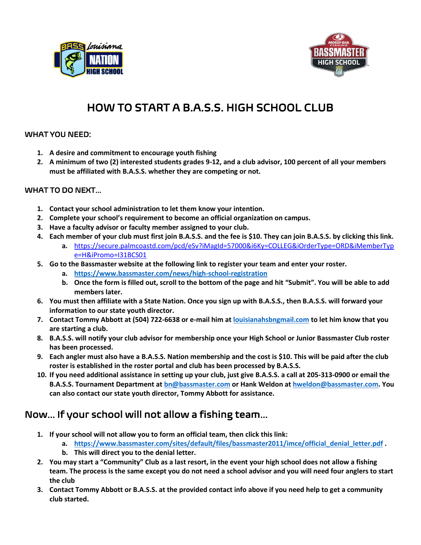



# HOW TO START A B.A.S.S. HIGH SCHOOL CLUB

#### WHAT YOU NEED:

- **1. A desire and commitment to encourage youth fishing**
- **2. A minimum of two (2) interested students grades 9-12, and a club advisor, 100 percent of all your members must be affiliated with B.A.S.S. whether they are competing or not.**

#### WHAT TO DO NEXT…

- **1. Contact your school administration to let them know your intention.**
- **2. Complete your school's requirement to become an official organization on campus.**
- **3. Have a faculty advisor or faculty member assigned to your club.**
- **4. Each member of your club must first join B.A.S.S. and the fee is \$10. They can join B.A.S.S. by clicking this link. a.** [https://secure.palmcoastd.com/pcd/eSv?iMagId=57000&i6Ky=COLLEG&iOrderType=ORD&iMemberTyp](https://secure.palmcoastd.com/pcd/eSv?iMagId=57000&i6Ky=COLLEG&iOrderType=ORD&iMemberType=H&iPromo=I31BCS01) [e=H&iPromo=I31BCS01](https://secure.palmcoastd.com/pcd/eSv?iMagId=57000&i6Ky=COLLEG&iOrderType=ORD&iMemberType=H&iPromo=I31BCS01)
- **5. Go to the Bassmaster website at the following link to register your team and enter your roster.**
	- **a. <https://www.bassmaster.com/news/high-school-registration>**
	- **b. Once the form is filled out, scroll to the bottom of the page and hit "Submit". You will be able to add members later.**
- **6. You must then affiliate with a State Nation. Once you sign up with B.A.S.S., then B.A.S.S. will forward your information to our state youth director.**
- **7. Contact Tommy Abbott at (504) 722-6638 or e-mail him at [louisianahsbngmail.com](mailto:ehoover4364@gmail.com) to let him know that you are starting a club.**
- **8. B.A.S.S. will notify your club advisor for membership once your High School or Junior Bassmaster Club roster has been processed.**
- **9. Each angler must also have a B.A.S.S. Nation membership and the cost is \$10. This will be paid after the club roster is established in the roster portal and club has been processed by B.A.S.S.**
- **10. If you need additional assistance in setting up your club, just give B.A.S.S. a call at 205-313-0900 or email the B.A.S.S. Tournament Department a[t bn@bassmaster.com](mailto:bn@bassmaster.com) or Hank Weldon at [hweldon@bassmaster.com.](mailto:hweldon@bassmaster.com) You can also contact our state youth director, Tommy Abbott for assistance.**

### Now… If your school will not allow a fishing team…

- **1. If your school will not allow you to form an official team, then click this link:**
	- **a. [https://www.bassmaster.com/sites/default/files/bassmaster2011/imce/official\\_denial\\_letter.pdf](https://www.bassmaster.com/sites/default/files/bassmaster2011/imce/official_denial_letter.pdf) .**
	- **b. This will direct you to the denial letter.**
- **2. You may start a "Community" Club as a last resort, in the event your high school does not allow a fishing team. The process is the same except you do not need a school advisor and you will need four anglers to start the club**
- **3. Contact Tommy Abbott or B.A.S.S. at the provided contact info above if you need help to get a community club started.**